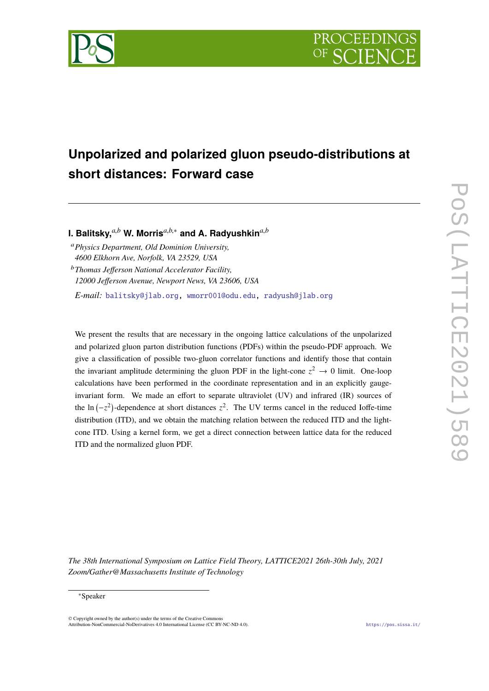

# **Unpolarized and polarized gluon pseudo-distributions at short distances: Forward case**

**I. Balitsky,***a*,*<sup>b</sup>* **W. Morris***a*,*b*,<sup>∗</sup> **and A. Radyushkin***a*,*<sup>b</sup>*

<sup>a</sup>*Physics Department, Old Dominion University, 4600 Elkhorn Ave, Norfolk, VA 23529, USA*

<sup>b</sup>*Thomas Jefferson National Accelerator Facility, 12000 Jefferson Avenue, Newport News, VA 23606, USA*

*E-mail:* [balitsky@jlab.org,](mailto:balitsky@jlab.org) [wmorr001@odu.edu,](mailto:wmorr001@odu.edu) [radyush@jlab.org](mailto:radyush@jlab.org)

We present the results that are necessary in the ongoing lattice calculations of the unpolarized and polarized gluon parton distribution functions (PDFs) within the pseudo-PDF approach. We give a classification of possible two-gluon correlator functions and identify those that contain the invariant amplitude determining the gluon PDF in the light-cone  $z^2 \to 0$  limit. One-loop calculations have been performed in the coordinate representation and in an explicitly gaugeinvariant form. We made an effort to separate ultraviolet (UV) and infrared (IR) sources of the ln  $(-z^2)$ -dependence at short distances  $z^2$ . The UV terms cancel in the reduced Ioffe-time distribution (ITD), and we obtain the matching relation between the reduced ITD and the lightcone ITD. Using a kernel form, we get a direct connection between lattice data for the reduced ITD and the normalized gluon PDF.

*The 38th International Symposium on Lattice Field Theory, LATTICE2021 26th-30th July, 2021 Zoom/Gather@Massachusetts Institute of Technology*

### <sup>∗</sup>Speaker

 $\odot$  Copyright owned by the author(s) under the terms of the Creative Common Attribution-NonCommercial-NoDerivatives 4.0 International License (CC BY-NC-ND 4.0). <https://pos.sissa.it/>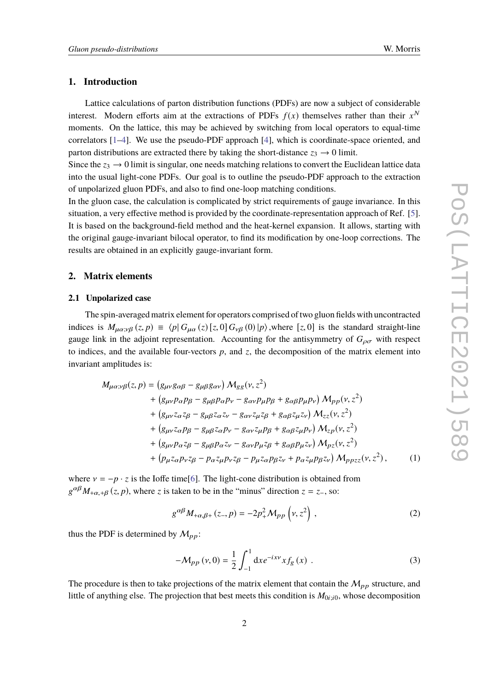# **1. Introduction**

Lattice calculations of parton distribution functions (PDFs) are now a subject of considerable interest. Modern efforts aim at the extractions of PDFs  $f(x)$  themselves rather than their  $x^N$ moments. On the lattice, this may be achieved by switching from local operators to equal-time correlators [\[1–](#page-6-0)[4\]](#page-6-1). We use the pseudo-PDF approach [\[4\]](#page-6-1), which is coordinate-space oriented, and parton distributions are extracted there by taking the short-distance  $z_3 \rightarrow 0$  limit.

Since the  $z_3 \rightarrow 0$  limit is singular, one needs matching relations to convert the Euclidean lattice data into the usual light-cone PDFs. Our goal is to outline the pseudo-PDF approach to the extraction of unpolarized gluon PDFs, and also to find one-loop matching conditions.

In the gluon case, the calculation is complicated by strict requirements of gauge invariance. In this situation, a very effective method is provided by the coordinate-representation approach of Ref. [\[5\]](#page-6-2). It is based on the background-field method and the heat-kernel expansion. It allows, starting with the original gauge-invariant bilocal operator, to find its modification by one-loop corrections. The results are obtained in an explicitly gauge-invariant form.

# **2. Matrix elements**

#### **2.1 Unpolarized case**

The spin-averaged matrix element for operators comprised of two gluon fields with uncontracted indices is  $M_{\mu\alpha;\nu\beta}(z, p) \equiv \langle p | G_{\mu\alpha}(z) [z, 0] G_{\nu\beta}(0) | p \rangle$ , where [*z*, 0] is the standard straight-line gauge link in the adjoint representation. Accounting for the antisymmetry of  $G_{\alpha\sigma}$  with respect to indices, and the available four-vectors  $p$ , and  $z$ , the decomposition of the matrix element into invariant amplitudes is:

$$
M_{\mu\alpha;\nu\beta}(z,p) = (g_{\mu\nu}g_{\alpha\beta} - g_{\mu\beta}g_{\alpha\nu}) M_{gg}(\nu, z^2)
$$
  
+  $(g_{\mu\nu}p_{\alpha}p_{\beta} - g_{\mu\beta}p_{\alpha}p_{\nu} - g_{\alpha\nu}p_{\mu}p_{\beta} + g_{\alpha\beta}p_{\mu}p_{\nu}) M_{pp}(\nu, z^2)$   
+  $(g_{\mu\nu}z_{\alpha}z_{\beta} - g_{\mu\beta}z_{\alpha}z_{\nu} - g_{\alpha\nu}z_{\mu}z_{\beta} + g_{\alpha\beta}z_{\mu}z_{\nu}) M_{zz}(\nu, z^2)$   
+  $(g_{\mu\nu}z_{\alpha}p_{\beta} - g_{\mu\beta}z_{\alpha}p_{\nu} - g_{\alpha\nu}z_{\mu}p_{\beta} + g_{\alpha\beta}z_{\mu}p_{\nu}) M_{zp}(\nu, z^2)$   
+  $(g_{\mu\nu}p_{\alpha}z_{\beta} - g_{\mu\beta}p_{\alpha}z_{\nu} - g_{\alpha\nu}p_{\mu}z_{\beta} + g_{\alpha\beta}p_{\mu}z_{\nu}) M_{pz}(\nu, z^2)$   
+  $(p_{\mu}z_{\alpha}p_{\nu}z_{\beta} - p_{\alpha}z_{\mu}p_{\nu}z_{\beta} - p_{\mu}z_{\alpha}p_{\beta}z_{\nu} + p_{\alpha}z_{\mu}p_{\beta}z_{\nu}) M_{ppzz}(\nu, z^2)$ , (1)

where  $v = -p \cdot z$  is the Ioffe time[\[6\]](#page-6-3). The light-cone distribution is obtained from  $g^{\alpha\beta}M_{+\alpha,+\beta}(z, p)$ , where *z* is taken to be in the "minus" direction *z* = *z*<sub>−</sub>, so:

$$
g^{\alpha\beta}M_{+\alpha,\beta+}(z_-,p) = -2p_+^2 \mathcal{M}_{pp}\left(\nu,z^2\right),\tag{2}
$$

thus the PDF is determined by  $M_{pp}$ :

$$
-\mathcal{M}_{pp}(\nu,0) = \frac{1}{2} \int_{-1}^{1} dx e^{-ix\nu} x f_g(x) .
$$
 (3)

The procedure is then to take projections of the matrix element that contain the  $M_{pp}$  structure, and little of anything else. The projection that best meets this condition is  $M<sub>0i; i0</sub>$ , whose decomposition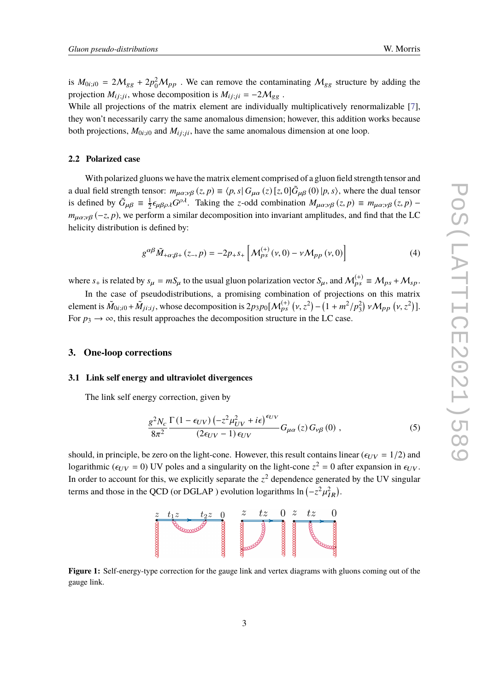is  $M_{0i;i0} = 2M_{gg} + 2p_0^2 M_{pp}$ . We can remove the contaminating  $M_{gg}$  structure by adding the projection  $M_{ij;ji}$ , whose decomposition is  $M_{ij;ji} = -2M_{gg}$ .

While all projections of the matrix element are individually multiplicatively renormalizable [\[7\]](#page-6-4), they won't necessarily carry the same anomalous dimension; however, this addition works because both projections,  $M_{0i;i0}$  and  $M_{ij;ji}$ , have the same anomalous dimension at one loop.

# **2.2 Polarized case**

With polarized gluons we have the matrix element comprised of a gluon field strength tensor and a dual field strength tensor:  $m_{\mu\alpha;\nu\beta}(z, p) \equiv \langle p, s | G_{\mu\alpha}(z) [z, 0] \tilde{G}_{\mu\beta}(0) | p, s \rangle$ , where the dual tensor is defined by  $\tilde{G}_{\mu\beta} \equiv \frac{1}{2}$  $\frac{1}{2} \epsilon_{\mu\beta\rho\lambda} G^{\rho\lambda}$ . Taking the *z*-odd combination  $M_{\mu\alpha;\nu\beta}(z, p) = m_{\mu\alpha;\nu\beta}(z, p)$  $m_{\mu\alpha;\nu\beta}$  (-*z*, *p*), we perform a similar decomposition into invariant amplitudes, and find that the LC helicity distribution is defined by:

$$
g^{\alpha\beta}\tilde{M}_{+\alpha;\beta+}(z_-,p) = -2p_+s_+\left[M_{ps}^{(+)}(v,0) - vM_{pp}(v,0)\right]
$$
 (4)

where  $s_+$  is related by  $s_\mu = mS_\mu$  to the usual gluon polarization vector  $S_\mu$ , and  $\mathcal{M}_{ps}^{(+)} \equiv \mathcal{M}_{ps} + \mathcal{M}_{sp}$ .

In the case of pseudodistributions, a promising combination of projections on this matrix element is  $\tilde{M}_{0i; i0} + \tilde{M}_{ji; i j}$ , whose decomposition is  $2p_3p_0[\mathcal{M}_{ps}^{(+)}(v, z^2) - (1 + m^2/p_3^2) v \mathcal{M}_{pp}(v, z^2)].$ For  $p_3 \rightarrow \infty$ , this result approaches the decomposition structure in the LC case.

#### **3. One-loop corrections**

#### **3.1 Link self energy and ultraviolet divergences**

The link self energy correction, given by

$$
\frac{g^2 N_c}{8\pi^2} \frac{\Gamma\left(1 - \epsilon_{UV}\right) \left(-z^2 \mu_{UV}^2 + i\epsilon\right)^{\epsilon_{UV}}}{(2\epsilon_{UV} - 1)\epsilon_{UV}} G_{\mu\alpha}\left(z\right) G_{\nu\beta}\left(0\right) ,\tag{5}
$$

should, in principle, be zero on the light-cone. However, this result contains linear ( $\epsilon_{UV} = 1/2$ ) and logarithmic ( $\epsilon_{UV} = 0$ ) UV poles and a singularity on the light-cone  $z^2 = 0$  after expansion in  $\epsilon_{UV}$ . In order to account for this, we explicitly separate the  $z^2$  dependence generated by the UV singular terms and those in the QCD (or DGLAP) evolution logarithms  $\ln(-z^2)$  $\mathbf{r}$  $^2_{IR}$ ).



**Figure 1:** Self-energy-type correction for the gauge link and vertex diagrams with gluons coming out of the gauge link.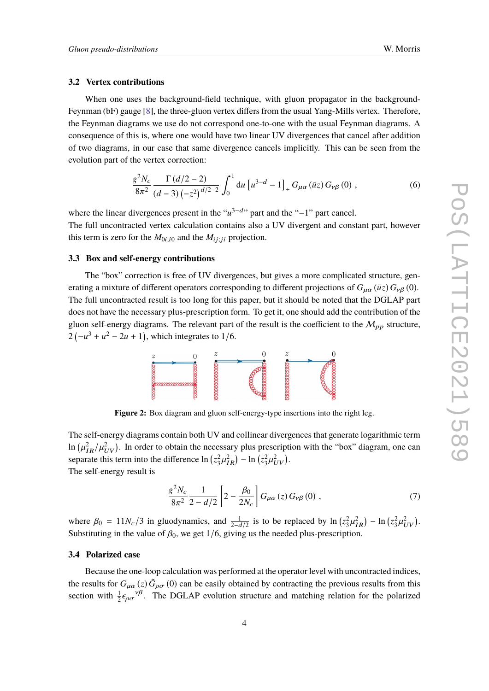#### **3.2 Vertex contributions**

When one uses the background-field technique, with gluon propagator in the background-Feynman (bF) gauge [\[8\]](#page-6-5), the three-gluon vertex differs from the usual Yang-Mills vertex. Therefore, the Feynman diagrams we use do not correspond one-to-one with the usual Feynman diagrams. A consequence of this is, where one would have two linear UV divergences that cancel after addition of two diagrams, in our case that same divergence cancels implicitly. This can be seen from the evolution part of the vertex correction:

$$
\frac{g^2 N_c}{8\pi^2} \frac{\Gamma(d/2 - 2)}{(d-3) \left(-z^2\right)^{d/2 - 2}} \int_0^1 du \left[u^{3-d} - 1\right]_+ G_{\mu\alpha}(\bar{u}z) G_{\nu\beta}(0) ,\qquad (6)
$$

where the linear divergences present in the "*u*<sup>3−d</sup>" part and the "−1" part cancel.

The full uncontracted vertex calculation contains also a UV divergent and constant part, however this term is zero for the  $M_{0i; i0}$  and the  $M_{i j; j i}$  projection.

# **3.3 Box and self-energy contributions**

The "box" correction is free of UV divergences, but gives a more complicated structure, generating a mixture of different operators corresponding to different projections of  $G_{\mu\alpha}(\bar{u}z)G_{\nu\beta}$  (0). The full uncontracted result is too long for this paper, but it should be noted that the DGLAP part does not have the necessary plus-prescription form. To get it, one should add the contribution of the gluon self-energy diagrams. The relevant part of the result is the coefficient to the  $M_{pp}$  structure,  $2(-u^3 + u^2 - 2u + 1)$ , which integrates to 1/6.



**Figure 2:** Box diagram and gluon self-energy-type insertions into the right leg.

The self-energy diagrams contain both UV and collinear divergences that generate logarithmic term  $\ln \left( \mu_{IR}^2 / \mu_{UV}^2 \right)$ . In order to obtain the necessary plus prescription with the "box" diagram, one can separate this term into the difference  $\ln (z_3^2 \mu)$  $\binom{2}{iR}$  – ln  $\left(z_3^2 \mu\right)$  $\frac{2}{UV}$ ). The self-energy result is

$$
\frac{g^2 N_c}{8\pi^2} \frac{1}{2 - d/2} \left[ 2 - \frac{\beta_0}{2N_c} \right] G_{\mu\alpha}(z) G_{\nu\beta}(0) , \qquad (7)
$$

where  $\beta_0 = 11N_c/3$  in gluodynamics, and  $\frac{1}{2-d/2}$  is to be replaced by ln  $(z_3^2\mu_R^2) - \ln(z_3^2\mu_R^2)$ Substituting in the value of  $\beta_0$ , we get  $1/6$ , giving us the needed plus-prescription.  $\frac{2}{UV}$ ).

### **3.4 Polarized case**

Because the one-loop calculation was performed at the operator level with uncontracted indices, the results for  $G_{\mu\alpha}(z)$   $\tilde{G}_{\rho\sigma}(0)$  can be easily obtained by contracting the previous results from this section with  $\frac{1}{2} \epsilon_{\rho \sigma} v^{\beta}$ . The DGLAP evolution structure and matching relation for the polarized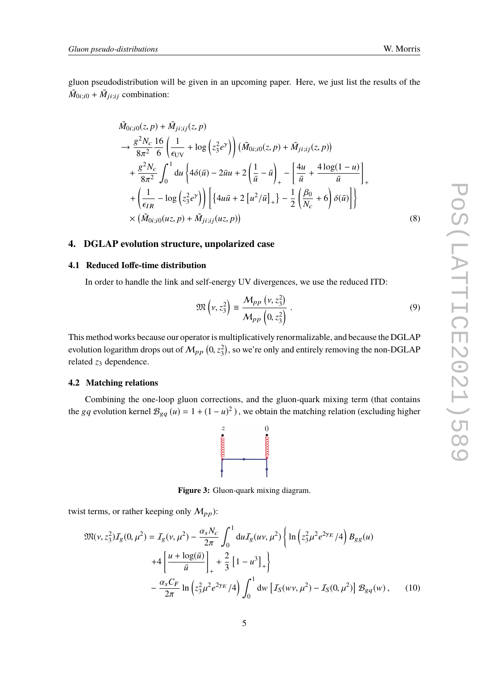gluon pseudodistribution will be given in an upcoming paper. Here, we just list the results of the  $\tilde{M}_{0i;i0} + \tilde{M}_{ji;ij}$  combination:

$$
\tilde{M}_{0i;i0}(z, p) + \tilde{M}_{ji;ij}(z, p) \n\to \frac{g^2 N_c}{8\pi^2} \frac{16}{6} \left( \frac{1}{\epsilon_{UV}} + \log (z_3^2 e^{\gamma}) \right) (\tilde{M}_{0i;i0}(z, p) + \tilde{M}_{ji;ij}(z, p)) \n+ \frac{g^2 N_c}{8\pi^2} \int_0^1 du \left\{ 4\delta(\bar{u}) - 2\bar{u}u + 2\left( \frac{1}{\bar{u}} - \bar{u} \right)_+ - \left[ \frac{4u}{\bar{u}} + \frac{4\log(1 - u)}{\bar{u}} \right]_+ \right. \n+ \left( \frac{1}{\epsilon_{IR}} - \log (z_3^2 e^{\gamma}) \right) \left[ \left\{ 4u\bar{u} + 2 [u^2/\bar{u}]_+ \right\} - \frac{1}{2} \left( \frac{\beta_0}{N_c} + 6 \right) \delta(\bar{u}) \right] \right\} \n\times (\tilde{M}_{0i;i0}(uz, p) + \tilde{M}_{ji;ij}(uz, p))
$$
\n(8)

# **4. DGLAP evolution structure, unpolarized case**

# **4.1 Reduced Ioffe-time distribution**

In order to handle the link and self-energy UV divergences, we use the reduced ITD:

$$
\mathfrak{M}\left(\nu, z_3^2\right) \equiv \frac{\mathcal{M}_{pp}\left(\nu, z_3^2\right)}{\mathcal{M}_{pp}\left(0, z_3^2\right)}\,. \tag{9}
$$

This method works because our operator is multiplicatively renormalizable, and because the DGLAP evolution logarithm drops out of  $M_{pp}$   $(0, z_3^2)$ , so we're only and entirely removing the non-DGLAP related  $z_3$  dependence.

# **4.2 Matching relations**

Combining the one-loop gluon corrections, and the gluon-quark mixing term (that contains the *gq* evolution kernel  $B_{gq}(u) = 1 + (1 - u)^2$ ), we obtain the matching relation (excluding higher



**Figure 3:** Gluon-quark mixing diagram.

twist terms, or rather keeping only  $M_{pp}$ ):

$$
\mathfrak{M}(\nu, z_3^2) I_g(0, \mu^2) = I_g(\nu, \mu^2) - \frac{\alpha_s N_c}{2\pi} \int_0^1 du I_g(u\nu, \mu^2) \left\{ \ln \left( z_3^2 \mu^2 e^{2\gamma E} / 4 \right) B_{gg}(u) \right. \left. + 4 \left[ \frac{u + \log(\bar{u})}{\bar{u}} \right]_+ + \frac{2}{3} \left[ 1 - u^3 \right]_+ \right\} - \frac{\alpha_s C_F}{2\pi} \ln \left( z_3^2 \mu^2 e^{2\gamma E} / 4 \right) \int_0^1 dw \left[ I_S(w\nu, \mu^2) - I_S(0, \mu^2) \right] \mathcal{B}_{gq}(w), \tag{10}
$$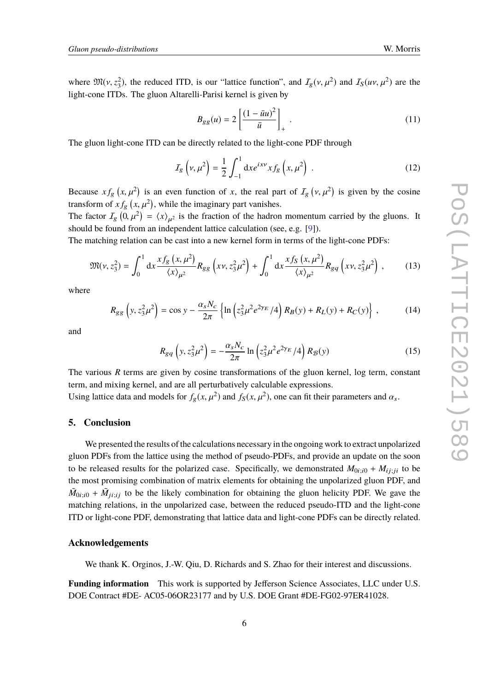where  $\mathfrak{M}(v, z_3^2)$ , the reduced ITD, is our "lattice function", and  $I_g(v, \mu^2)$  and  $I_g(uv, \mu^2)$  are the light cano ITDs. The cluen Alteralli Barisi kernal is given by light-cone ITDs. The gluon Altarelli-Parisi kernel is given by

$$
B_{gg}(u) = 2\left[\frac{(1-\bar{u}u)^2}{\bar{u}}\right]_+ \tag{11}
$$

The gluon light-cone ITD can be directly related to the light-cone PDF through

$$
I_g\left(v,\mu^2\right) = \frac{1}{2} \int_{-1}^1 \mathrm{d}x e^{ixv} x f_g\left(x,\mu^2\right) \,. \tag{12}
$$

Because  $xf_g(x, \mu^2)$  is an even function of *x*, the real part of  $I_g(y, \mu^2)$  is given by the cosine<br>transform of  $xf_g(y, \mu^2)$  while the imaginary next vanishes transform of  $xf_g(x, \mu^2)$ , while the imaginary part vanishes.

The factor  $I_g$   $(0, \mu^2) = \langle x \rangle_{\mu^2}$  is the fraction of the hadron momentum carried by the gluons. It should be found from an independent lettice sole value (see e.g. [01]) should be found from an independent lattice calculation (see, e.g. [\[9\]](#page-6-6)).

The matching relation can be cast into a new kernel form in terms of the light-cone PDFs:

$$
\mathfrak{M}(\nu, z_3^2) = \int_0^1 dx \frac{x f_g(x, \mu^2)}{\langle x \rangle_{\mu^2}} R_{gg} \left( x \nu, z_3^2 \mu^2 \right) + \int_0^1 dx \frac{x f_S(x, \mu^2)}{\langle x \rangle_{\mu^2}} R_{gq} \left( x \nu, z_3^2 \mu^2 \right), \tag{13}
$$

where

$$
R_{gg}\left(y, z_3^2 \mu^2\right) = \cos y - \frac{\alpha_s N_c}{2\pi} \left\{\ln\left(z_3^2 \mu^2 e^{2\gamma_E}/4\right) R_B(y) + R_L(y) + R_C(y)\right\} ,\tag{14}
$$

and

$$
R_{gq}\left(y, z_3^2 \mu^2\right) = -\frac{\alpha_s N_c}{2\pi} \ln\left(z_3^2 \mu^2 e^{2\gamma_E}/4\right) R_{\mathcal{B}}(y) \tag{15}
$$

The various *R* terms are given by cosine transformations of the gluon kernel, log term, constant term, and mixing kernel, and are all perturbatively calculable expressions.

Using lattice data and models for  $f_g(x, \mu^2)$  and  $f_S(x, \mu^2)$ , one can fit their parameters and  $\alpha_s$ .

# **5. Conclusion**

We presented the results of the calculations necessary in the ongoing work to extract unpolarized gluon PDFs from the lattice using the method of pseudo-PDFs, and provide an update on the soon to be released results for the polarized case. Specifically, we demonstrated  $M_{0i; i0} + M_{i j; i i}$  to be the most promising combination of matrix elements for obtaining the unpolarized gluon PDF, and  $\tilde{M}_{0i; i0} + \tilde{M}_{ji; i j}$  to be the likely combination for obtaining the gluon helicity PDF. We gave the matching relations, in the unpolarized case, between the reduced pseudo-ITD and the light-cone ITD or light-cone PDF, demonstrating that lattice data and light-cone PDFs can be directly related.

### **Acknowledgements**

We thank K. Orginos, J.-W. Qiu, D. Richards and S. Zhao for their interest and discussions.

**Funding information** This work is supported by Jefferson Science Associates, LLC under U.S. DOE Contract #DE- AC05-06OR23177 and by U.S. DOE Grant #DE-FG02-97ER41028.